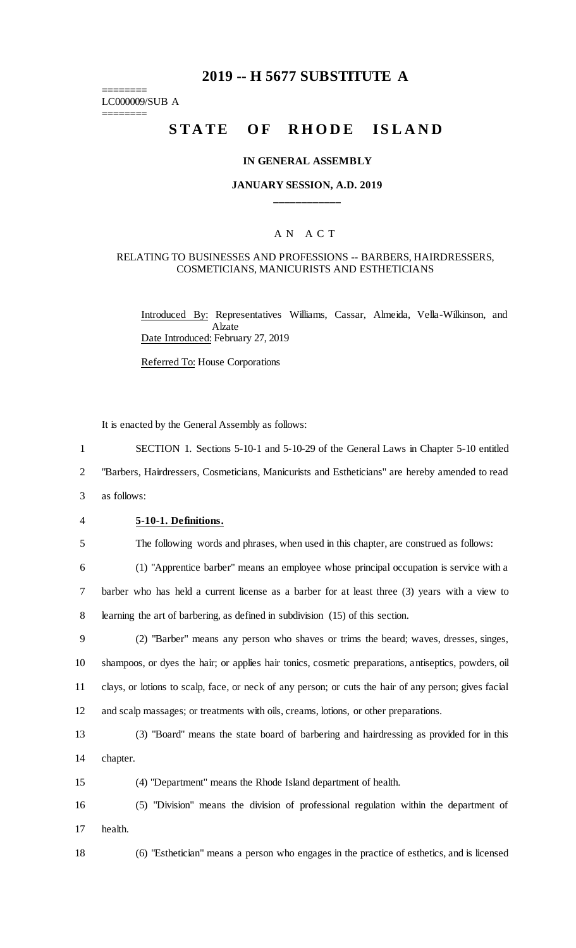# **2019 -- H 5677 SUBSTITUTE A**

======== LC000009/SUB A

========

# STATE OF RHODE ISLAND

#### **IN GENERAL ASSEMBLY**

### **JANUARY SESSION, A.D. 2019 \_\_\_\_\_\_\_\_\_\_\_\_**

#### A N A C T

### RELATING TO BUSINESSES AND PROFESSIONS -- BARBERS, HAIRDRESSERS, COSMETICIANS, MANICURISTS AND ESTHETICIANS

Introduced By: Representatives Williams, Cassar, Almeida, Vella-Wilkinson, and Alzate Date Introduced: February 27, 2019

Referred To: House Corporations

It is enacted by the General Assembly as follows:

1 SECTION 1. Sections 5-10-1 and 5-10-29 of the General Laws in Chapter 5-10 entitled

2 "Barbers, Hairdressers, Cosmeticians, Manicurists and Estheticians" are hereby amended to read

3 as follows:

### 4 **5-10-1. Definitions.**

5 The following words and phrases, when used in this chapter, are construed as follows:

6 (1) "Apprentice barber" means an employee whose principal occupation is service with a 7 barber who has held a current license as a barber for at least three (3) years with a view to 8 learning the art of barbering, as defined in subdivision (15) of this section.

 (2) "Barber" means any person who shaves or trims the beard; waves, dresses, singes, shampoos, or dyes the hair; or applies hair tonics, cosmetic preparations, antiseptics, powders, oil clays, or lotions to scalp, face, or neck of any person; or cuts the hair of any person; gives facial and scalp massages; or treatments with oils, creams, lotions, or other preparations.

13 (3) "Board" means the state board of barbering and hairdressing as provided for in this 14 chapter.

15 (4) "Department" means the Rhode Island department of health.

16 (5) "Division" means the division of professional regulation within the department of 17 health.

18 (6) "Esthetician" means a person who engages in the practice of esthetics, and is licensed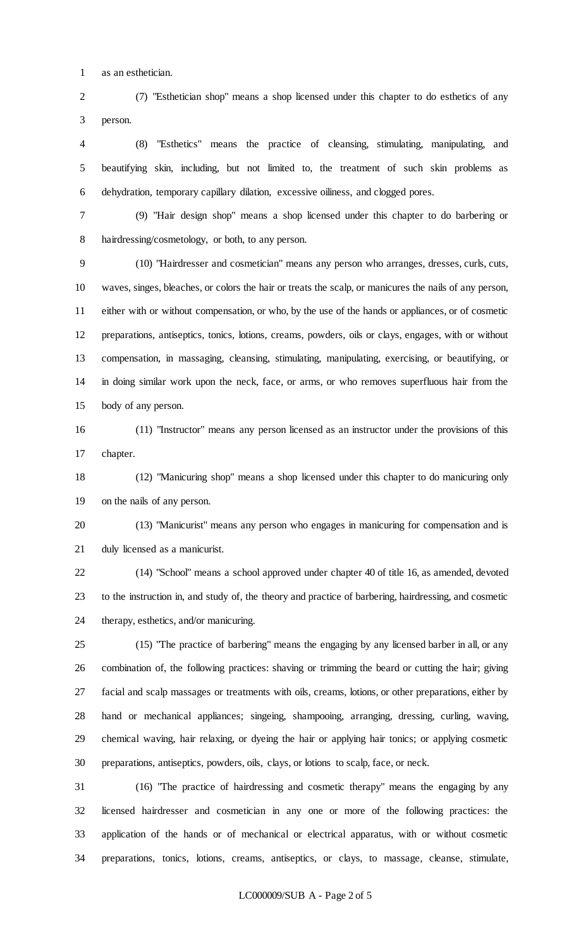as an esthetician.

 (7) "Esthetician shop" means a shop licensed under this chapter to do esthetics of any person.

 (8) "Esthetics" means the practice of cleansing, stimulating, manipulating, and beautifying skin, including, but not limited to, the treatment of such skin problems as dehydration, temporary capillary dilation, excessive oiliness, and clogged pores.

 (9) "Hair design shop" means a shop licensed under this chapter to do barbering or hairdressing/cosmetology, or both, to any person.

 (10) "Hairdresser and cosmetician" means any person who arranges, dresses, curls, cuts, waves, singes, bleaches, or colors the hair or treats the scalp, or manicures the nails of any person, either with or without compensation, or who, by the use of the hands or appliances, or of cosmetic preparations, antiseptics, tonics, lotions, creams, powders, oils or clays, engages, with or without compensation, in massaging, cleansing, stimulating, manipulating, exercising, or beautifying, or in doing similar work upon the neck, face, or arms, or who removes superfluous hair from the body of any person.

 (11) "Instructor" means any person licensed as an instructor under the provisions of this chapter.

 (12) "Manicuring shop" means a shop licensed under this chapter to do manicuring only on the nails of any person.

 (13) "Manicurist" means any person who engages in manicuring for compensation and is duly licensed as a manicurist.

 (14) "School" means a school approved under chapter 40 of title 16, as amended, devoted to the instruction in, and study of, the theory and practice of barbering, hairdressing, and cosmetic therapy, esthetics, and/or manicuring.

 (15) "The practice of barbering" means the engaging by any licensed barber in all, or any combination of, the following practices: shaving or trimming the beard or cutting the hair; giving facial and scalp massages or treatments with oils, creams, lotions, or other preparations, either by hand or mechanical appliances; singeing, shampooing, arranging, dressing, curling, waving, chemical waving, hair relaxing, or dyeing the hair or applying hair tonics; or applying cosmetic preparations, antiseptics, powders, oils, clays, or lotions to scalp, face, or neck.

 (16) "The practice of hairdressing and cosmetic therapy" means the engaging by any licensed hairdresser and cosmetician in any one or more of the following practices: the application of the hands or of mechanical or electrical apparatus, with or without cosmetic preparations, tonics, lotions, creams, antiseptics, or clays, to massage, cleanse, stimulate,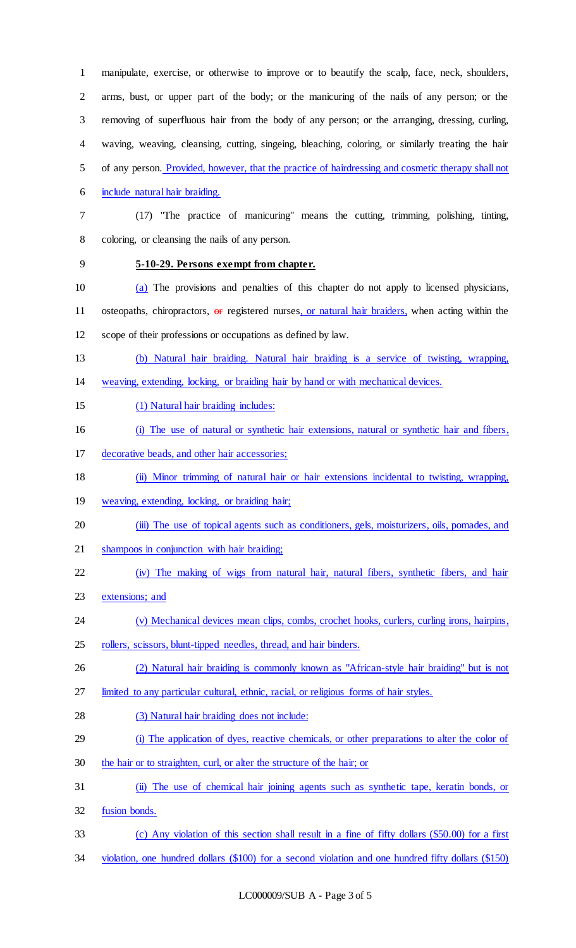manipulate, exercise, or otherwise to improve or to beautify the scalp, face, neck, shoulders, arms, bust, or upper part of the body; or the manicuring of the nails of any person; or the removing of superfluous hair from the body of any person; or the arranging, dressing, curling, waving, weaving, cleansing, cutting, singeing, bleaching, coloring, or similarly treating the hair of any person. Provided, however, that the practice of hairdressing and cosmetic therapy shall not include natural hair braiding. (17) "The practice of manicuring" means the cutting, trimming, polishing, tinting, coloring, or cleansing the nails of any person. **5-10-29. Persons exempt from chapter.** (a) The provisions and penalties of this chapter do not apply to licensed physicians, 11 osteopaths, chiropractors, or registered nurses, or natural hair braiders, when acting within the scope of their professions or occupations as defined by law. (b) Natural hair braiding. Natural hair braiding is a service of twisting, wrapping, weaving, extending, locking, or braiding hair by hand or with mechanical devices. (1) Natural hair braiding includes: (i) The use of natural or synthetic hair extensions, natural or synthetic hair and fibers, decorative beads, and other hair accessories; (ii) Minor trimming of natural hair or hair extensions incidental to twisting, wrapping, weaving, extending, locking, or braiding hair; (iii) The use of topical agents such as conditioners, gels, moisturizers, oils, pomades, and shampoos in conjunction with hair braiding; (iv) The making of wigs from natural hair, natural fibers, synthetic fibers, and hair 23 extensions; and 24 (v) Mechanical devices mean clips, combs, crochet hooks, curlers, curling irons, hairpins, 25 rollers, scissors, blunt-tipped needles, thread, and hair binders. (2) Natural hair braiding is commonly known as "African-style hair braiding" but is not limited to any particular cultural, ethnic, racial, or religious forms of hair styles. (3) Natural hair braiding does not include: (i) The application of dyes, reactive chemicals, or other preparations to alter the color of the hair or to straighten, curl, or alter the structure of the hair; or (ii) The use of chemical hair joining agents such as synthetic tape, keratin bonds, or fusion bonds. (c) Any violation of this section shall result in a fine of fifty dollars (\$50.00) for a first

violation, one hundred dollars (\$100) for a second violation and one hundred fifty dollars (\$150)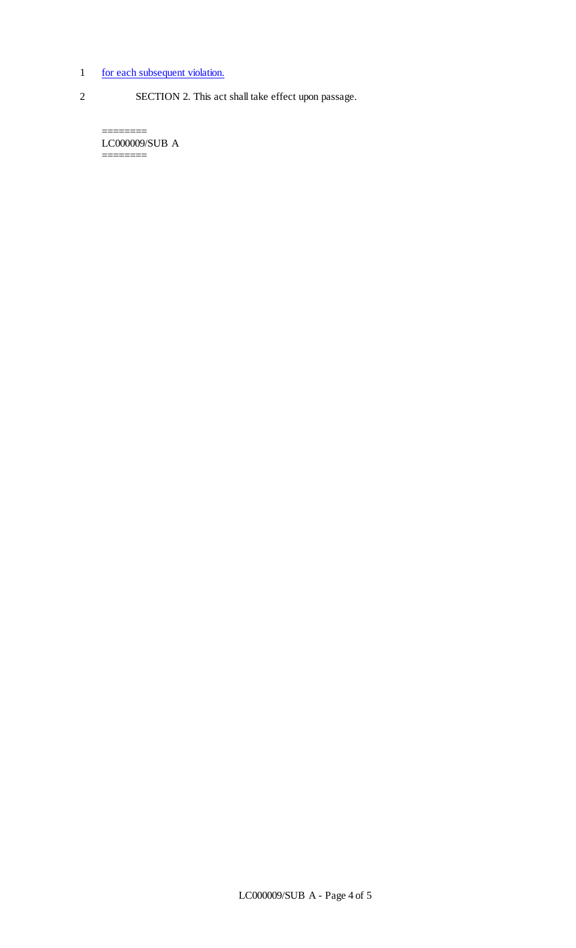## 1 for each subsequent violation.

2 SECTION 2. This act shall take effect upon passage.

LC000009/SUB A ========

========